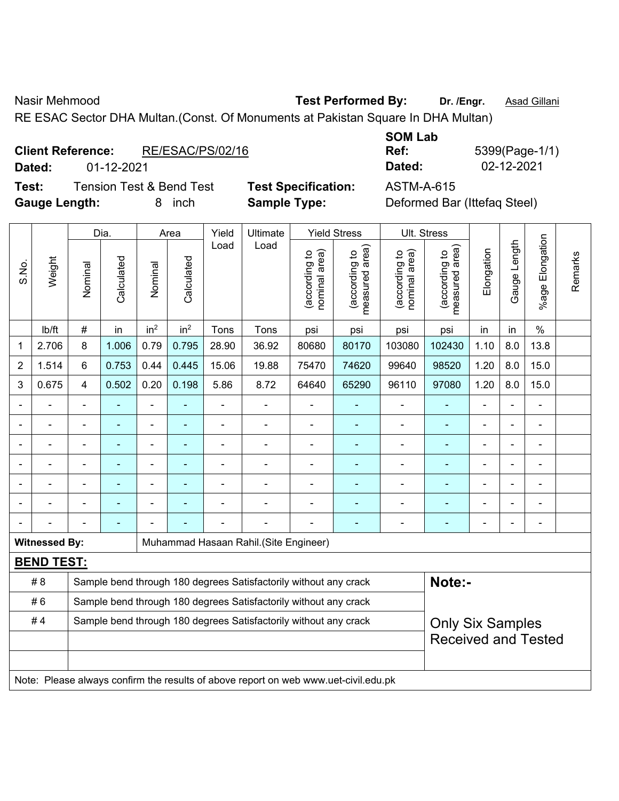S.No.

Nasir Mehmood **Test Performed By: Dr. /Engr.** Asad Gillani

RE ESAC Sector DHA Multan.(Const. Of Monuments at Pakistan Square In DHA Multan)

#### **Client Reference:** RE/ESAC/PS/02/16

**Test:** Tension Test & Bend Test **Test Specification:** ASTM-A-615 **Gauge Length:** 8 inch **Sample Type:** Deformed Bar (Ittefaq Steel)

|                          |            |                  | <b>SOM Lab</b> |                |
|--------------------------|------------|------------------|----------------|----------------|
| <b>Client Reference:</b> |            | RE/ESAC/PS/02/16 | Ref:           | 5399(Page-1/1) |
| Dated:                   | 01-12-2021 |                  | Dated:         | 02-12-2021     |

Dia. | Area | Yield | Ultimate | Yield Stress | Ult. Stress %age Elongation %age Elongation Gauge Length Gauge Length Load Load (according to<br>measured area) measured area) (according to<br>measured area) measured area) (according to<br>nominal area) (according to<br>nominal area) **Elongation** nominal area) nominal area) Elongation (according to (according to (according to (according to Remarks Remarks **Calculated Calculated** Weight Calculated Calculated Nominal Nominal Vominal Vominal | lb/ft | # | in | in<sup>2</sup> | in<sup>2</sup> | Tons | Tons | psi | psi | psi | psi | in | in | % 1 | 2.706 | 8 | 1.006 | 0.79 | 0.795 | 28.90 | 36.92 | 80680 | 80170 | 103080 | 102430 | 1.10 | 8.0 | 13.8 2 | 1.514 | 6 | 0.753 | 0.44 | 0.445 | 15.06 | 19.88 | 75470 | 74620 | 99640 | 98520 | 1.20 | 8.0 | 15.0 3 | 0.675 | 4 | 0.502 | 0.20 | 0.198 | 5.86 | 8.72 | 64640 | 65290 | 96110 | 97080 | 1.20 | 8.0 | 15.0 - - - - - - - - - - - - - - - - - - - - - - - - - - - - - - - - - - - - - - - - - - - - - - - - - - - - - - - - - - - - - - - - - - - - - - - - - - - - - - - - - - - - - - - - - - - - - - - - - - - - - - - - - **Witnessed By:** | Muhammad Hasaan Rahil.(Site Engineer) **BEND TEST:**  # 8 Sample bend through 180 degrees Satisfactorily without any crack **Note:**-#6 Sample bend through 180 degrees Satisfactorily without any crack #4 | Sample bend through 180 degrees Satisfactorily without any crack Only Six Samples Received and Tested

Note: Please always confirm the results of above report on web www.uet-civil.edu.pk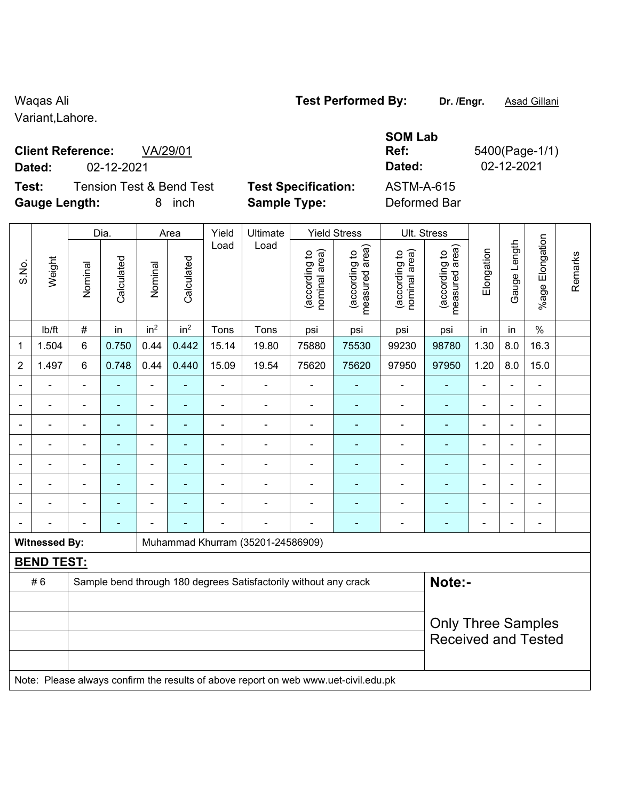Variant,Lahore.

# **Client Reference:** VA/29/01

**Dated:** 02-12-2021 **Dated:** 02-12-2021

**Test:** Tension Test & Bend Test **Test Specification:** ASTM-A-615 **Gauge Length:** 8 inch **Sample Type:** Deformed Bar

**SOM Lab** 

**Ref:** 5400(Page-1/1)

|                | Dia.<br>Area         |                |                |                 | Yield           | Ultimate                 |                                                                                     | <b>Yield Stress</b>            |                                 | Ult. Stress                    |                                 |                |                |                       |         |
|----------------|----------------------|----------------|----------------|-----------------|-----------------|--------------------------|-------------------------------------------------------------------------------------|--------------------------------|---------------------------------|--------------------------------|---------------------------------|----------------|----------------|-----------------------|---------|
| S.No.          | Weight               | Nominal        | Calculated     | Nominal         | Calculated      | Load                     | Load                                                                                | nominal area)<br>(according to | (according to<br>measured area) | (according to<br>nominal area) | (according to<br>measured area) | Elongation     | Gauge Length   | Elongation<br>$%$ age | Remarks |
|                | Ib/ft                | $\#$           | in             | in <sup>2</sup> | in <sup>2</sup> | Tons                     | Tons                                                                                | psi                            | psi                             | psi                            | psi                             | in             | in             | $\frac{0}{0}$         |         |
| $\mathbf 1$    | 1.504                | 6              | 0.750          | 0.44            | 0.442           | 15.14                    | 19.80                                                                               | 75880                          | 75530                           | 99230                          | 98780                           | 1.30           | 8.0            | 16.3                  |         |
| $\overline{2}$ | 1.497                | $6\phantom{1}$ | 0.748          | 0.44            | 0.440           | 15.09                    | 19.54                                                                               | 75620                          | 75620                           | 97950                          | 97950                           | 1.20           | 8.0            | 15.0                  |         |
|                |                      |                |                |                 |                 |                          |                                                                                     |                                |                                 | $\blacksquare$                 |                                 |                |                |                       |         |
|                |                      | $\blacksquare$ |                | ÷,              | ۰               | $\blacksquare$           | ÷,                                                                                  | $\blacksquare$                 | $\overline{\phantom{0}}$        | $\blacksquare$                 | $\blacksquare$                  | $\blacksquare$ | ÷.             | $\blacksquare$        |         |
|                | $\blacksquare$       | $\blacksquare$ | $\blacksquare$ | $\blacksquare$  | ۰               | $\blacksquare$           | $\blacksquare$                                                                      | $\blacksquare$                 | $\blacksquare$                  | $\blacksquare$                 | $\blacksquare$                  | $\blacksquare$ | $\blacksquare$ | $\blacksquare$        |         |
|                |                      | $\blacksquare$ | $\blacksquare$ | $\blacksquare$  | ۰               | $\blacksquare$           | $\blacksquare$                                                                      | $\blacksquare$                 | $\blacksquare$                  | $\blacksquare$                 | L,                              | $\blacksquare$ |                | ä,                    |         |
|                |                      |                |                |                 |                 |                          |                                                                                     | $\blacksquare$                 |                                 | $\blacksquare$                 | ÷,                              |                |                | $\blacksquare$        |         |
|                |                      | $\blacksquare$ |                |                 |                 | $\overline{\phantom{0}}$ |                                                                                     |                                |                                 | ۰                              |                                 |                |                | $\blacksquare$        |         |
|                |                      | $\blacksquare$ |                | $\blacksquare$  |                 |                          |                                                                                     | $\blacksquare$                 |                                 | $\blacksquare$                 | ÷,                              |                |                | ä,                    |         |
|                |                      |                |                |                 |                 |                          | $\blacksquare$                                                                      |                                |                                 | ۰                              | -                               | $\blacksquare$ |                | $\blacksquare$        |         |
|                | <b>Witnessed By:</b> |                |                |                 |                 |                          | Muhammad Khurram (35201-24586909)                                                   |                                |                                 |                                |                                 |                |                |                       |         |
|                | <b>BEND TEST:</b>    |                |                |                 |                 |                          |                                                                                     |                                |                                 |                                |                                 |                |                |                       |         |
|                | #6                   |                |                |                 |                 |                          | Sample bend through 180 degrees Satisfactorily without any crack                    |                                |                                 |                                | Note:-                          |                |                |                       |         |
|                |                      |                |                |                 |                 |                          |                                                                                     |                                |                                 |                                |                                 |                |                |                       |         |
|                |                      |                |                |                 |                 |                          |                                                                                     |                                |                                 |                                | <b>Only Three Samples</b>       |                |                |                       |         |
|                |                      |                |                |                 |                 |                          |                                                                                     |                                |                                 |                                | <b>Received and Tested</b>      |                |                |                       |         |
|                |                      |                |                |                 |                 |                          |                                                                                     |                                |                                 |                                |                                 |                |                |                       |         |
|                |                      |                |                |                 |                 |                          | Note: Please always confirm the results of above report on web www.uet-civil.edu.pk |                                |                                 |                                |                                 |                |                |                       |         |

# Waqas Ali **Waqas Ali Test Performed By:** Dr. /Engr. **Asad Gillani**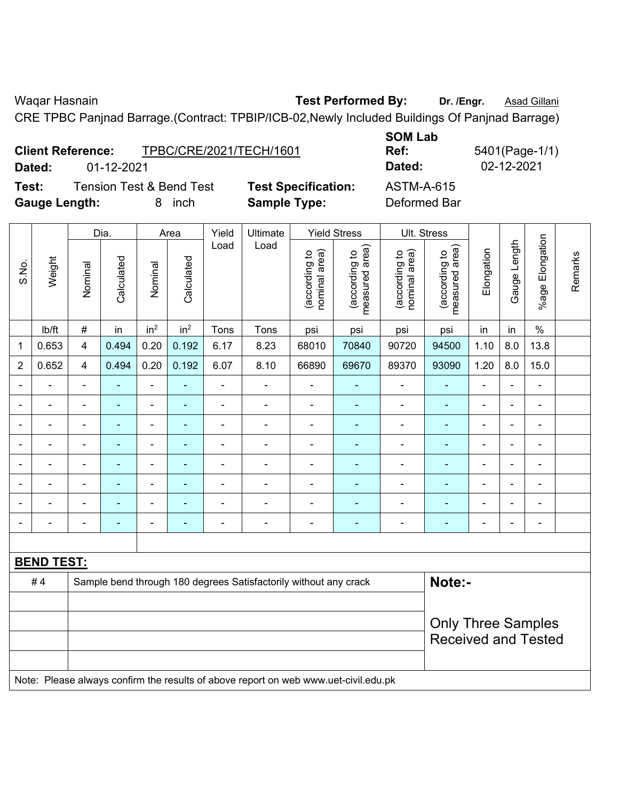$\overline{\phantom{a}}$ 

Waqar Hasnain **Test Performed By:** Dr. /Engr. **Asad Gillani** Care and Dr. *Asad Gillani* 

CRE TPBC Panjnad Barrage.(Contract: TPBIP/ICB-02,Newly Included Buildings Of Panjnad Barrage)

|                          |            |                         | -------    |             |
|--------------------------|------------|-------------------------|------------|-------------|
| <b>Client Reference:</b> |            | TPBC/CRE/2021/TECH/1601 | <b>Ref</b> | 5401(Page-1 |
| Dated:                   | 01-12-2021 |                         | Dated:     | 02-12-2021  |

 $\overline{\phantom{0}}$ 

 $\blacksquare$ 

**Test:** Tension Test & Bend Test **Test Specification:** ASTM-A-615 **Gauge Length:** 8 inch **Sample Type:** Deformed Bar

 $\top$ 

 $\overline{\phantom{a}}$ 

**SOM Lab Ref:** 5401(Page-1/1)

 $\top$ 

 $\top$ 

 $\top$ 

 $\top$ 

|                |                   |                         | Dia.       |                 | Area            | Yield          | Ult. Stress                                                                         |                                |                                 |                                |                                 |                          |                |                 |         |
|----------------|-------------------|-------------------------|------------|-----------------|-----------------|----------------|-------------------------------------------------------------------------------------|--------------------------------|---------------------------------|--------------------------------|---------------------------------|--------------------------|----------------|-----------------|---------|
| S.No.          | Weight            | Nominal                 | Calculated | Nominal         | Calculated      | Load           | Load                                                                                | nominal area)<br>(according to | (according to<br>measured area) | (according to<br>nominal area) | (according to<br>measured area) | Elongation               | Gauge Length   | %age Elongation | Remarks |
|                | Ib/ft             | #                       | in         | in <sup>2</sup> | in <sup>2</sup> | Tons           | Tons                                                                                | psi                            | psi                             | psi                            | psi                             | in                       | in             | $\%$            |         |
| 1              | 0.653             | $\overline{\mathbf{4}}$ | 0.494      | 0.20            | 0.192           | 6.17           | 8.23                                                                                | 68010                          | 70840                           | 90720                          | 94500                           | 1.10                     | 8.0            | 13.8            |         |
| $\overline{2}$ | 0.652             | $\overline{4}$          | 0.494      | 0.20            | 0.192           | 6.07           | 8.10                                                                                | 66890                          | 69670                           | 89370                          | 93090                           | 1.20                     | 8.0            | 15.0            |         |
| $\blacksquare$ | ä,                | $\blacksquare$          | ÷,         | ÷               |                 | $\blacksquare$ | $\blacksquare$                                                                      | $\blacksquare$                 | ÷                               | $\blacksquare$                 | $\blacksquare$                  | $\blacksquare$           | $\blacksquare$ | $\blacksquare$  |         |
|                | $\blacksquare$    | $\blacksquare$          | ÷,         | $\blacksquare$  |                 | $\blacksquare$ | $\blacksquare$                                                                      | L,                             | ÷                               | $\blacksquare$                 | $\blacksquare$                  | $\blacksquare$           | Ē,             | $\blacksquare$  |         |
|                | $\blacksquare$    |                         | ٠          | $\blacksquare$  |                 | $\blacksquare$ | $\blacksquare$                                                                      | $\blacksquare$                 |                                 | $\blacksquare$                 | $\blacksquare$                  |                          |                | $\blacksquare$  |         |
|                |                   |                         | ۰          | $\overline{a}$  |                 |                | $\blacksquare$                                                                      | $\overline{a}$                 | ۰                               | $\overline{\phantom{a}}$       |                                 | $\overline{\phantom{0}}$ |                | $\blacksquare$  |         |
| $\blacksquare$ | $\blacksquare$    | $\blacksquare$          | ۰          | ÷               |                 | $\blacksquare$ | $\blacksquare$                                                                      |                                | ۰                               | $\overline{\phantom{0}}$       | $\blacksquare$                  | $\blacksquare$           | $\blacksquare$ | $\blacksquare$  |         |
|                | ÷                 | $\blacksquare$          | ۰          | ÷               |                 | $\blacksquare$ | $\blacksquare$                                                                      | $\blacksquare$                 | ۰                               | $\overline{\phantom{a}}$       | $\blacksquare$                  | $\blacksquare$           | Ē,             | $\blacksquare$  |         |
|                | $\blacksquare$    | $\blacksquare$          | ÷.         | ÷,              |                 | $\overline{a}$ | $\blacksquare$                                                                      | ä,                             | $\blacksquare$                  | $\blacksquare$                 | $\blacksquare$                  | $\blacksquare$           |                | L.              |         |
|                |                   |                         | ۰          | ÷               |                 | $\blacksquare$ | $\blacksquare$                                                                      |                                |                                 | $\overline{\phantom{0}}$       | $\blacksquare$                  | $\blacksquare$           |                | $\blacksquare$  |         |
|                |                   |                         |            |                 |                 |                |                                                                                     |                                |                                 |                                |                                 |                          |                |                 |         |
|                | <b>BEND TEST:</b> |                         |            |                 |                 |                |                                                                                     |                                |                                 |                                |                                 |                          |                |                 |         |
|                | #4                |                         |            |                 |                 |                | Sample bend through 180 degrees Satisfactorily without any crack                    |                                |                                 |                                | Note:-                          |                          |                |                 |         |
|                |                   |                         |            |                 |                 |                |                                                                                     |                                |                                 |                                |                                 |                          |                |                 |         |
|                |                   |                         |            |                 |                 |                |                                                                                     |                                |                                 |                                | <b>Only Three Samples</b>       |                          |                |                 |         |
|                |                   |                         |            |                 |                 |                |                                                                                     |                                |                                 |                                | <b>Received and Tested</b>      |                          |                |                 |         |
|                |                   |                         |            |                 |                 |                |                                                                                     |                                |                                 |                                |                                 |                          |                |                 |         |
|                |                   |                         |            |                 |                 |                | Note: Please always confirm the results of above report on web www.uet-civil.edu.pk |                                |                                 |                                |                                 |                          |                |                 |         |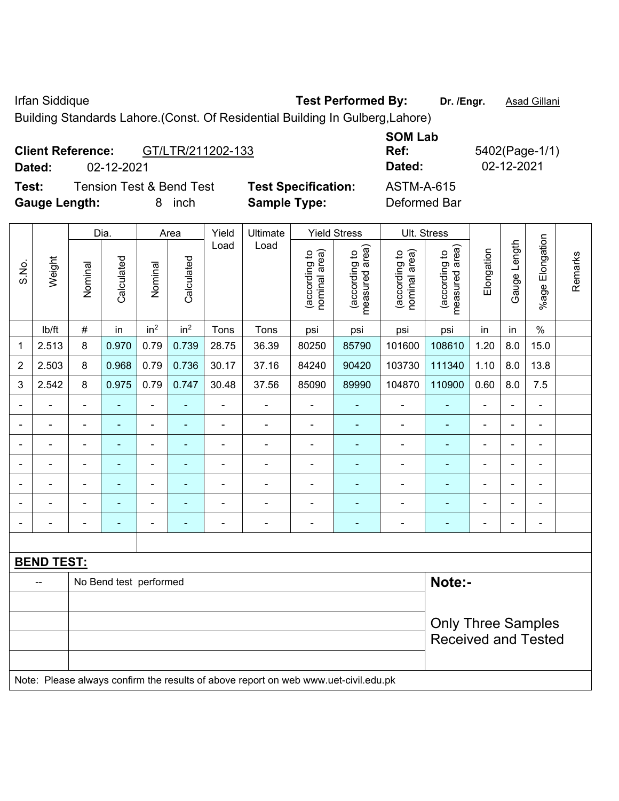Irfan Siddique **Test Performed By:** Dr. /Engr. **Asad Gillani** 

Building Standards Lahore.(Const. Of Residential Building In Gulberg,Lahore)

| <b>Client Reference:</b> |            | GT/LTR/211202-133                   |                            | <b>SOM Lab</b><br>Ref: | 5402(Page-1/1) |
|--------------------------|------------|-------------------------------------|----------------------------|------------------------|----------------|
| Dated:                   | 02-12-2021 |                                     |                            | Dated:                 | 02-12-2021     |
| Test:                    |            | <b>Tension Test &amp; Bend Test</b> | <b>Test Specification:</b> | ASTM-A-615             |                |
| <b>Gauge Length:</b>     |            | inch                                | <b>Sample Type:</b>        | Deformed Bar           |                |

|                          |                   |                | Dia.                     |                 | Area            | Yield          | Ultimate                                                                            |                                | <b>Yield Stress</b>             |                                | Ult. Stress                     |                |                |                          |         |
|--------------------------|-------------------|----------------|--------------------------|-----------------|-----------------|----------------|-------------------------------------------------------------------------------------|--------------------------------|---------------------------------|--------------------------------|---------------------------------|----------------|----------------|--------------------------|---------|
| S.No.                    | Weight            | Nominal        | Calculated               | Nominal         | Calculated      | Load           | Load                                                                                | nominal area)<br>(according to | measured area)<br>(according to | nominal area)<br>(according to | measured area)<br>(according to | Elongation     | Gauge Length   | %age Elongation          | Remarks |
|                          | lb/ft             | $\#$           | in                       | in <sup>2</sup> | in <sup>2</sup> | Tons           | Tons                                                                                | psi                            | psi                             | psi                            | psi                             | in             | in             | $\%$                     |         |
| 1                        | 2.513             | 8              | 0.970                    | 0.79            | 0.739           | 28.75          | 36.39                                                                               | 80250                          | 85790                           | 101600                         | 108610                          | 1.20           | 8.0            | 15.0                     |         |
| $\overline{2}$           | 2.503             | 8              | 0.968                    | 0.79            | 0.736           | 30.17          | 37.16                                                                               | 84240                          | 90420                           | 103730                         | 111340                          | 1.10           | 8.0            | 13.8                     |         |
| 3                        | 2.542             | 8              | 0.975                    | 0.79            | 0.747           | 30.48          | 37.56                                                                               | 85090                          | 89990                           | 104870                         | 110900                          | 0.60           | 8.0            | 7.5                      |         |
|                          | $\blacksquare$    | $\blacksquare$ | $\blacksquare$           | ÷,              |                 | $\blacksquare$ | ÷                                                                                   | $\blacksquare$                 | $\blacksquare$                  | $\blacksquare$                 | $\blacksquare$                  | $\blacksquare$ | $\blacksquare$ | $\blacksquare$           |         |
|                          | $\blacksquare$    | $\blacksquare$ | ÷,                       | ÷,              | $\blacksquare$  | $\blacksquare$ | ÷                                                                                   | $\blacksquare$                 | $\blacksquare$                  | $\blacksquare$                 | $\blacksquare$                  | $\blacksquare$ | ÷,             | $\blacksquare$           |         |
|                          | $\blacksquare$    | $\blacksquare$ | ۰                        | $\blacksquare$  |                 | $\blacksquare$ | ä,                                                                                  | $\blacksquare$                 | $\blacksquare$                  | $\blacksquare$                 |                                 |                |                | ä,                       |         |
|                          |                   |                | $\overline{\phantom{0}}$ | $\blacksquare$  |                 |                | $\blacksquare$                                                                      | ۰                              | ٠                               | $\blacksquare$                 | $\blacksquare$                  | $\blacksquare$ |                | $\blacksquare$           |         |
|                          | $\overline{a}$    | ä,             | $\blacksquare$           | $\blacksquare$  |                 |                | Ē,                                                                                  | ä,                             |                                 |                                |                                 | Ē,             |                | ÷                        |         |
| $\blacksquare$           | -                 | $\blacksquare$ | ۰                        | ÷               |                 |                | ÷                                                                                   | $\blacksquare$                 | $\blacksquare$                  | $\blacksquare$                 |                                 | $\blacksquare$ | $\blacksquare$ | ÷                        |         |
| $\overline{\phantom{0}}$ |                   | $\blacksquare$ | ۰                        | ÷               |                 | $\blacksquare$ | ä,                                                                                  | $\blacksquare$                 | ٠                               | $\blacksquare$                 | ۰                               | $\blacksquare$ | $\blacksquare$ | $\overline{\phantom{a}}$ |         |
|                          |                   |                |                          |                 |                 |                |                                                                                     |                                |                                 |                                |                                 |                |                |                          |         |
|                          | <b>BEND TEST:</b> |                |                          |                 |                 |                |                                                                                     |                                |                                 |                                |                                 |                |                |                          |         |
|                          |                   |                | No Bend test performed   |                 |                 |                |                                                                                     |                                |                                 |                                | Note:-                          |                |                |                          |         |
|                          |                   |                |                          |                 |                 |                |                                                                                     |                                |                                 |                                |                                 |                |                |                          |         |
|                          |                   |                |                          |                 |                 |                |                                                                                     |                                |                                 |                                | <b>Only Three Samples</b>       |                |                |                          |         |
|                          |                   |                |                          |                 |                 |                |                                                                                     |                                |                                 |                                | <b>Received and Tested</b>      |                |                |                          |         |
|                          |                   |                |                          |                 |                 |                | Note: Please always confirm the results of above report on web www.uet-civil.edu.pk |                                |                                 |                                |                                 |                |                |                          |         |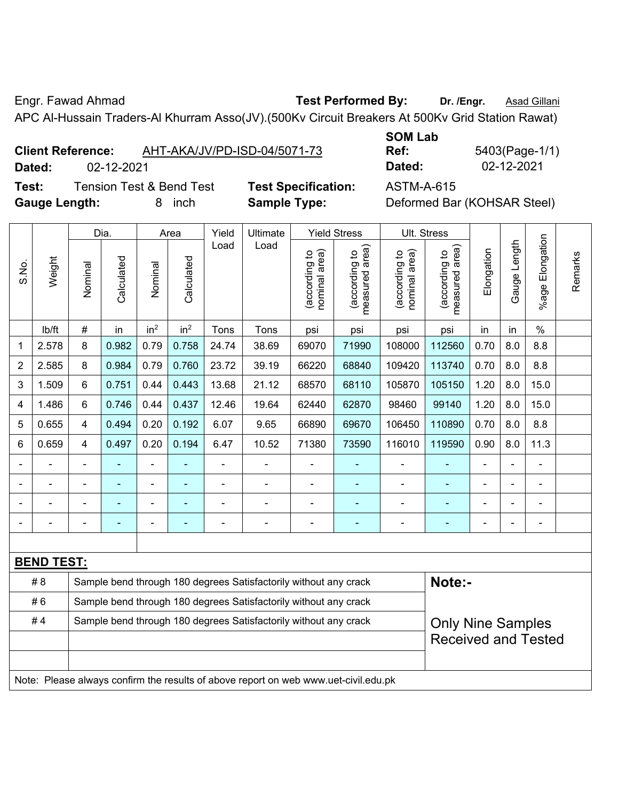Engr. Fawad Ahmad **Test Performed By:** Dr. /Engr. **Asad Gillani** 

APC Al-Hussain Traders-Al Khurram Asso(JV).(500Kv Circuit Breakers At 500Kv Grid Station Rawat)

| <b>Client Reference:</b> | AHT-AKA/JV/PD-ISD-04/5071-73 |
|--------------------------|------------------------------|
|                          |                              |

**SOM Lab Ref:** 5403(Page-1/1) **Dated:** 02-12-2021 **Dated:** 02-12-2021

**Test:** Tension Test & Bend Test **Test Specification:** ASTM-A-615 **Gauge Length:** 8 inch **Sample Type:** Deformed Bar (KOHSAR Steel)

|                |                          | Dia.<br>Yield<br>Ultimate<br><b>Yield Stress</b><br>Ult. Stress<br>Area |            |                 |                 |                |                                                                                     |                               |                                 |                               |                                 |            |                |                          |         |
|----------------|--------------------------|-------------------------------------------------------------------------|------------|-----------------|-----------------|----------------|-------------------------------------------------------------------------------------|-------------------------------|---------------------------------|-------------------------------|---------------------------------|------------|----------------|--------------------------|---------|
| S.No.          | Weight                   | Nominal                                                                 | Calculated | Nominal         | Calculated      | Load           | Load                                                                                | nominal area)<br>according to | (according to<br>measured area) | nominal area)<br>according to | (according to<br>measured area) | Elongation | Gauge Length   | Elongation<br>%age I     | Remarks |
|                | lb/ft                    | $\#$                                                                    | in         | in <sup>2</sup> | in <sup>2</sup> | Tons           | Tons                                                                                | psi                           | psi                             | psi                           | psi                             | in         | in             | $\%$                     |         |
| 1              | 2.578                    | 8                                                                       | 0.982      | 0.79            | 0.758           | 24.74          | 38.69                                                                               | 69070                         | 71990                           | 108000                        | 112560                          | 0.70       | 8.0            | 8.8                      |         |
| $\overline{2}$ | 2.585                    | 8                                                                       | 0.984      | 0.79            | 0.760           | 23.72          | 39.19                                                                               | 66220                         | 68840                           | 109420                        | 113740                          | 0.70       | 8.0            | 8.8                      |         |
| 3              | 1.509                    | 6                                                                       | 0.751      | 0.44            | 0.443           | 13.68          | 21.12                                                                               | 68570                         | 68110                           | 105870                        | 105150                          | 1.20       | 8.0            | 15.0                     |         |
| 4              | 1.486                    | 6                                                                       | 0.746      | 0.44            | 0.437           | 12.46          | 19.64                                                                               | 62440                         | 62870                           | 98460                         | 99140                           | 1.20       | 8.0            | 15.0                     |         |
| 5              | 0.655                    | 4                                                                       | 0.494      | 0.20            | 0.192           | 6.07           | 9.65                                                                                | 66890                         | 69670                           | 106450                        | 110890                          | 0.70       | 8.0            | 8.8                      |         |
| 6              | 0.659                    | 4                                                                       | 0.497      | 0.20            | 0.194           | 6.47           | 10.52                                                                               | 71380                         | 73590                           | 116010                        | 119590                          | 0.90       | 8.0            | 11.3                     |         |
|                | $\frac{1}{2}$            |                                                                         | ÷          | ÷,              |                 | $\blacksquare$ | ÷                                                                                   | $\overline{a}$                | $\blacksquare$                  | $\blacksquare$                | ÷                               | L,         | $\blacksquare$ | ÷,                       |         |
|                | $\overline{\phantom{0}}$ | $\blacksquare$                                                          | ÷          | ÷               |                 | $\blacksquare$ | ÷                                                                                   | $\blacksquare$                | $\blacksquare$                  | $\blacksquare$                | ÷                               | Ē,         |                | $\overline{\phantom{0}}$ |         |
|                |                          |                                                                         |            |                 |                 |                |                                                                                     |                               |                                 |                               |                                 |            |                | $\blacksquare$           |         |
|                |                          |                                                                         |            |                 |                 |                |                                                                                     | -                             |                                 |                               |                                 |            |                | ÷                        |         |
|                |                          |                                                                         |            |                 |                 |                |                                                                                     |                               |                                 |                               |                                 |            |                |                          |         |
|                | <b>BEND TEST:</b>        |                                                                         |            |                 |                 |                |                                                                                     |                               |                                 |                               |                                 |            |                |                          |         |
|                | # 8                      |                                                                         |            |                 |                 |                | Sample bend through 180 degrees Satisfactorily without any crack                    |                               |                                 |                               | Note:-                          |            |                |                          |         |
|                | #6                       |                                                                         |            |                 |                 |                | Sample bend through 180 degrees Satisfactorily without any crack                    |                               |                                 |                               |                                 |            |                |                          |         |
|                | #4                       |                                                                         |            |                 |                 |                | Sample bend through 180 degrees Satisfactorily without any crack                    |                               |                                 |                               | <b>Only Nine Samples</b>        |            |                |                          |         |
|                |                          |                                                                         |            |                 |                 |                |                                                                                     |                               |                                 |                               | <b>Received and Tested</b>      |            |                |                          |         |
|                |                          |                                                                         |            |                 |                 |                |                                                                                     |                               |                                 |                               |                                 |            |                |                          |         |
|                |                          |                                                                         |            |                 |                 |                | Note: Please always confirm the results of above report on web www.uet-civil.edu.pk |                               |                                 |                               |                                 |            |                |                          |         |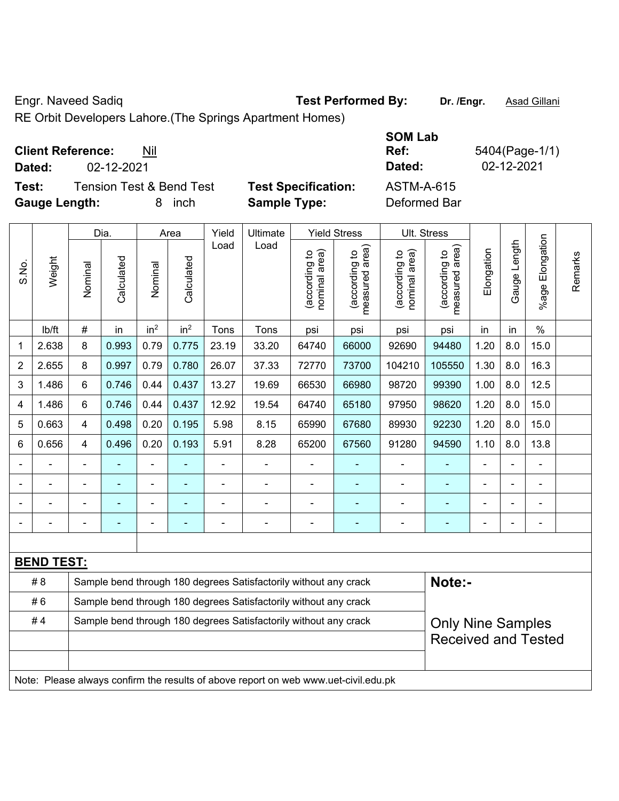Engr. Naveed Sadiq **Test Performed By:** Dr. /Engr. **Asad Gillani** 

RE Orbit Developers Lahore.(The Springs Apartment Homes)

| <b>Client Reference:</b> | Nil |
|--------------------------|-----|
|--------------------------|-----|

**Test:** Tension Test & Bend Test **Test Specification:** ASTM-A-615 **Gauge Length:** 8 inch **Sample Type:** Deformed Bar

**SOM Lab Ref:** 5404(Page-1/1) **Dated:** 02-12-2021 **Dated:** 02-12-2021

|                |                   |                                                                                              | Dia.       | Yield<br>Ultimate<br><b>Yield Stress</b><br>Ult. Stress<br>Area |                 |       |                                                                                     |                                |                                 |                                |                                 |                |              |                          |         |
|----------------|-------------------|----------------------------------------------------------------------------------------------|------------|-----------------------------------------------------------------|-----------------|-------|-------------------------------------------------------------------------------------|--------------------------------|---------------------------------|--------------------------------|---------------------------------|----------------|--------------|--------------------------|---------|
| S.No.          | Weight            | Nominal                                                                                      | Calculated | Nominal                                                         | Calculated      | Load  | Load                                                                                | (according to<br>nominal area) | (according to<br>measured area) | nominal area)<br>(according to | (according to<br>measured area) | Elongation     | Gauge Length | Elongation<br>%age       | Remarks |
|                | lb/ft             | $\#$                                                                                         | in         | in <sup>2</sup>                                                 | in <sup>2</sup> | Tons  | Tons                                                                                | psi                            | psi                             | psi                            | psi                             | in             | in           | $\frac{0}{0}$            |         |
| 1              | 2.638             | 8                                                                                            | 0.993      | 0.79                                                            | 0.775           | 23.19 | 33.20                                                                               | 64740                          | 66000                           | 92690                          | 94480                           | 1.20           | 8.0          | 15.0                     |         |
| $\overline{2}$ | 2.655             | 8                                                                                            | 0.997      | 0.79                                                            | 0.780           | 26.07 | 37.33                                                                               | 72770                          | 73700                           | 104210                         | 105550                          | 1.30           | 8.0          | 16.3                     |         |
| 3              | 1.486             | 6                                                                                            | 0.746      | 0.44                                                            | 0.437           | 13.27 | 19.69                                                                               | 66530                          | 66980                           | 98720                          | 99390                           | 1.00           | 8.0          | 12.5                     |         |
| 4              | 1.486             | 6                                                                                            | 0.746      | 0.44                                                            | 0.437           | 12.92 | 19.54                                                                               | 64740                          | 65180                           | 97950                          | 98620                           | 1.20           | 8.0          | 15.0                     |         |
| 5              | 0.663             | 4                                                                                            | 0.498      | 0.20                                                            | 0.195           | 5.98  | 8.15                                                                                | 65990                          | 67680                           | 89930                          | 92230                           | 1.20           | 8.0          | 15.0                     |         |
| 6              | 0.656             | 4                                                                                            | 0.496      | 0.20                                                            | 0.193           | 5.91  | 8.28                                                                                | 65200                          | 67560                           | 91280                          | 94590                           | 1.10           | 8.0          | 13.8                     |         |
|                |                   |                                                                                              |            | $\blacksquare$                                                  |                 | ä,    | L.                                                                                  |                                |                                 |                                |                                 | ä,             |              | L,                       |         |
|                |                   |                                                                                              |            |                                                                 |                 |       |                                                                                     |                                |                                 |                                |                                 |                |              |                          |         |
|                |                   |                                                                                              |            |                                                                 |                 |       |                                                                                     |                                |                                 | $\blacksquare$                 | ۳                               |                |              | $\blacksquare$           |         |
|                |                   |                                                                                              |            | ÷                                                               |                 |       | $\blacksquare$                                                                      | $\blacksquare$                 | $\blacksquare$                  | $\blacksquare$                 | $\blacksquare$                  | $\blacksquare$ |              | $\overline{\phantom{0}}$ |         |
|                |                   |                                                                                              |            |                                                                 |                 |       |                                                                                     |                                |                                 |                                |                                 |                |              |                          |         |
|                | <b>BEND TEST:</b> |                                                                                              |            |                                                                 |                 |       |                                                                                     |                                |                                 |                                |                                 |                |              |                          |         |
|                | # 8               |                                                                                              |            |                                                                 |                 |       | Sample bend through 180 degrees Satisfactorily without any crack                    |                                |                                 |                                | Note:-                          |                |              |                          |         |
|                | #6                |                                                                                              |            |                                                                 |                 |       | Sample bend through 180 degrees Satisfactorily without any crack                    |                                |                                 |                                |                                 |                |              |                          |         |
|                | #4                | Sample bend through 180 degrees Satisfactorily without any crack<br><b>Only Nine Samples</b> |            |                                                                 |                 |       |                                                                                     |                                |                                 |                                |                                 |                |              |                          |         |
|                |                   |                                                                                              |            |                                                                 |                 |       |                                                                                     |                                |                                 |                                | <b>Received and Tested</b>      |                |              |                          |         |
|                |                   |                                                                                              |            |                                                                 |                 |       |                                                                                     |                                |                                 |                                |                                 |                |              |                          |         |
|                |                   |                                                                                              |            |                                                                 |                 |       | Note: Please always confirm the results of above report on web www.uet-civil.edu.pk |                                |                                 |                                |                                 |                |              |                          |         |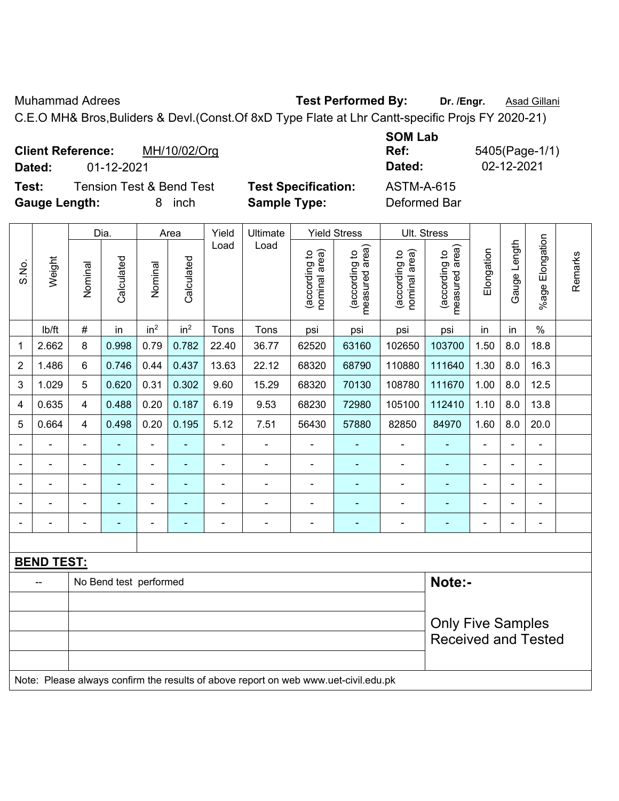Muhammad Adrees **Test Performed By:** Dr. /Engr. **Asad Gillani** 

C.E.O MH& Bros,Buliders & Devl.(Const.Of 8xD Type Flate at Lhr Cantt-specific Projs FY 2020-21)

| <b>Client Reference:</b> | MH/10/02/Org                        |                            | <b>SUMLAD</b><br>Ref: | 5405(Page-1/1) |
|--------------------------|-------------------------------------|----------------------------|-----------------------|----------------|
| Dated:                   | 01-12-2021                          |                            | Dated:                | 02-12-2021     |
| Test:                    | <b>Tension Test &amp; Bend Test</b> | <b>Test Specification:</b> | <b>ASTM-A-615</b>     |                |
| <b>Gauge Length:</b>     | inch<br>8.                          | <b>Sample Type:</b>        | Deformed Bar          |                |

|                |                   |                          | Dia.                   | Area                         |                 | Yield<br>Ultimate |                                                                                     |                                | <b>Yield Stress</b>             | Ult. Stress                    |                                 |                |                          |                      |         |
|----------------|-------------------|--------------------------|------------------------|------------------------------|-----------------|-------------------|-------------------------------------------------------------------------------------|--------------------------------|---------------------------------|--------------------------------|---------------------------------|----------------|--------------------------|----------------------|---------|
| S.No.          | Weight            | Nominal                  | Calculated             | Nominal                      | Calculated      | Load              | Load                                                                                | nominal area)<br>(according to | measured area)<br>(according to | nominal area)<br>(according to | measured area)<br>(according to | Elongation     | Gauge Length             | Elongation<br>%age I | Remarks |
|                | lb/ft             | $\#$                     | in                     | in <sup>2</sup>              | in <sup>2</sup> | Tons              | Tons                                                                                | psi                            | psi                             | psi                            | psi                             | in             | in                       | $\%$                 |         |
| 1              | 2.662             | 8                        | 0.998                  | 0.79                         | 0.782           | 22.40             | 36.77                                                                               | 62520                          | 63160                           | 102650                         | 103700                          | 1.50           | 8.0                      | 18.8                 |         |
| 2              | 1.486             | 6                        | 0.746                  | 0.44                         | 0.437           | 13.63             | 22.12                                                                               | 68320                          | 68790                           | 110880                         | 111640                          | 1.30           | 8.0                      | 16.3                 |         |
| 3              | 1.029             | 5                        | 0.620                  | 0.31                         | 0.302           | 9.60              | 15.29                                                                               | 68320                          | 70130                           | 108780                         | 111670                          | 1.00           | 8.0                      | 12.5                 |         |
| $\overline{4}$ | 0.635             | 4                        | 0.488                  | 0.20                         | 0.187           | 6.19              | 9.53                                                                                | 68230                          | 72980                           | 105100                         | 112410                          | 1.10           | 8.0                      | 13.8                 |         |
| 5              | 0.664             | 4                        | 0.498                  | 0.20                         | 0.195           | 5.12              | 7.51                                                                                | 56430                          | 57880                           | 82850                          | 84970                           | 1.60           | 8.0                      | 20.0                 |         |
|                |                   | $\blacksquare$           | ÷,                     | $\qquad \qquad \blacksquare$ | ۰               | $\blacksquare$    | $\blacksquare$                                                                      | L,                             |                                 | $\blacksquare$                 | $\blacksquare$                  |                |                          | $\blacksquare$       |         |
|                |                   |                          | ÷,                     | $\blacksquare$               |                 |                   | $\blacksquare$                                                                      | L,                             |                                 | $\blacksquare$                 | ٠                               |                |                          | $\blacksquare$       |         |
|                |                   |                          |                        |                              |                 |                   |                                                                                     |                                |                                 |                                |                                 |                |                          |                      |         |
|                |                   |                          |                        | -                            |                 |                   |                                                                                     | ÷                              |                                 | $\overline{\phantom{0}}$       |                                 |                |                          |                      |         |
|                |                   |                          | ۰                      | $\overline{\phantom{a}}$     | ÷               | $\blacksquare$    | $\overline{a}$                                                                      | $\blacksquare$                 | $\blacksquare$                  | $\blacksquare$                 | $\blacksquare$                  | $\blacksquare$ | $\overline{\phantom{0}}$ | $\blacksquare$       |         |
|                |                   |                          |                        |                              |                 |                   |                                                                                     |                                |                                 |                                |                                 |                |                          |                      |         |
|                | <b>BEND TEST:</b> |                          |                        |                              |                 |                   |                                                                                     |                                |                                 |                                |                                 |                |                          |                      |         |
|                |                   |                          | No Bend test performed |                              |                 |                   |                                                                                     |                                |                                 |                                | Note:-                          |                |                          |                      |         |
|                |                   |                          |                        |                              |                 |                   |                                                                                     |                                |                                 |                                |                                 |                |                          |                      |         |
|                |                   | <b>Only Five Samples</b> |                        |                              |                 |                   |                                                                                     |                                |                                 |                                |                                 |                |                          |                      |         |
|                |                   |                          |                        |                              |                 |                   |                                                                                     |                                |                                 |                                | <b>Received and Tested</b>      |                |                          |                      |         |
|                |                   |                          |                        |                              |                 |                   |                                                                                     |                                |                                 |                                |                                 |                |                          |                      |         |
|                |                   |                          |                        |                              |                 |                   | Note: Please always confirm the results of above report on web www.uet-civil.edu.pk |                                |                                 |                                |                                 |                |                          |                      |         |

**SOM Lab**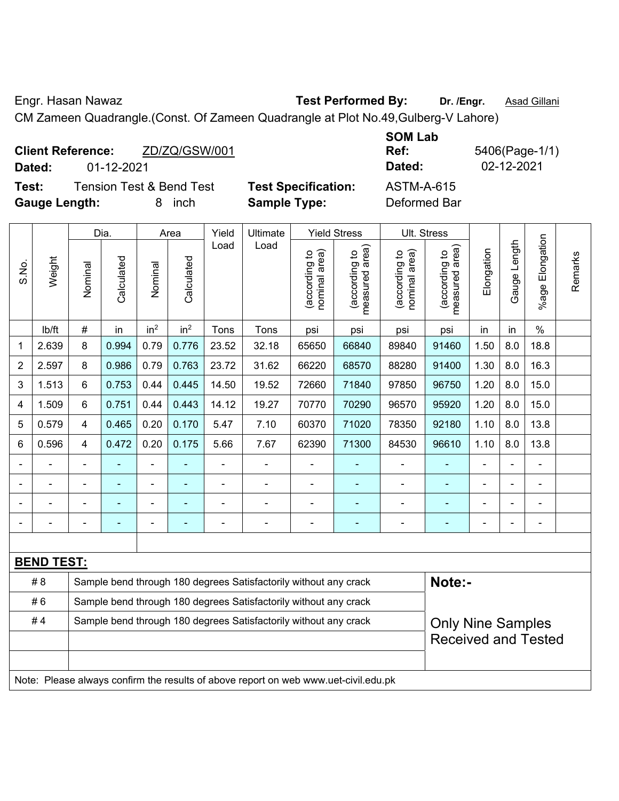Engr. Hasan Nawaz **Test Performed By:** Dr. /Engr. **Asad Gillani** 

CM Zameen Quadrangle.(Const. Of Zameen Quadrangle at Plot No.49,Gulberg-V Lahore)

| Dated:               | <b>Client Reference:</b><br>01-12-2021 | ZD/ZQ/GSW/001                       |                            | <b>SOM Lab</b><br>Ref:<br>Dated: | 5406(Page-1/1)<br>02-12-2021 |
|----------------------|----------------------------------------|-------------------------------------|----------------------------|----------------------------------|------------------------------|
| Test:                |                                        | <b>Tension Test &amp; Bend Test</b> | <b>Test Specification:</b> | ASTM-A-615                       |                              |
| <b>Gauge Length:</b> |                                        | inch<br>8                           | <b>Sample Type:</b>        | Deformed Bar                     |                              |

|                |                   |                                                                                              | Dia.           |                 | Area            | Yield<br>Ultimate |                                                                                     |                                | <b>Yield Stress</b>                         |                                | Ult. Stress                                 |            |                |                         |         |
|----------------|-------------------|----------------------------------------------------------------------------------------------|----------------|-----------------|-----------------|-------------------|-------------------------------------------------------------------------------------|--------------------------------|---------------------------------------------|--------------------------------|---------------------------------------------|------------|----------------|-------------------------|---------|
| S.No.          | Weight            | Nominal                                                                                      | Calculated     | Nominal         | Calculated      | Load              | Load                                                                                | nominal area)<br>(according to | (according to<br>neasured area)<br>measured | nominal area)<br>(according to | (according to<br>neasured area)<br>measured | Elongation | Gauge Length   | Elongation<br>$%$ age F | Remarks |
|                | Ib/ft             | $\#$                                                                                         | in             | in <sup>2</sup> | in <sup>2</sup> | Tons              | Tons                                                                                | psi                            | psi                                         | psi                            | psi                                         | in         | in             | $\%$                    |         |
| 1              | 2.639             | 8                                                                                            | 0.994          | 0.79            | 0.776           | 23.52             | 32.18                                                                               | 65650                          | 66840                                       | 89840                          | 91460                                       | 1.50       | 8.0            | 18.8                    |         |
| $\overline{2}$ | 2.597             | 8                                                                                            | 0.986          | 0.79            | 0.763           | 23.72             | 31.62                                                                               | 66220                          | 68570                                       | 88280                          | 91400                                       | 1.30       | 8.0            | 16.3                    |         |
| 3              | 1.513             | 6                                                                                            | 0.753          | 0.44            | 0.445           | 14.50             | 19.52                                                                               | 72660                          | 71840                                       | 97850                          | 96750                                       | 1.20       | 8.0            | 15.0                    |         |
| 4              | 1.509             | 6                                                                                            | 0.751          | 0.44            | 0.443           | 14.12             | 19.27                                                                               | 70770                          | 70290                                       | 96570                          | 95920                                       | 1.20       | 8.0            | 15.0                    |         |
| 5              | 0.579             | $\overline{\mathbf{4}}$                                                                      | 0.465          | 0.20            | 0.170           | 5.47              | 7.10                                                                                | 60370                          | 71020                                       | 78350                          | 92180                                       | 1.10       | 8.0            | 13.8                    |         |
| 6              | 0.596             | $\overline{4}$                                                                               | 0.472          | 0.20            | 0.175           | 5.66              | 7.67                                                                                | 62390                          | 71300                                       | 84530                          | 96610                                       | 1.10       | 8.0            | 13.8                    |         |
|                |                   | ä,                                                                                           |                |                 |                 |                   |                                                                                     |                                |                                             |                                |                                             |            |                |                         |         |
|                | $\blacksquare$    | $\blacksquare$                                                                               | ٠              | ä,              | ٠               | $\blacksquare$    | ÷.                                                                                  | $\blacksquare$                 | ٠                                           | $\overline{\phantom{a}}$       | $\blacksquare$                              | Ē,         | $\blacksquare$ | $\blacksquare$          |         |
|                |                   | ä,                                                                                           |                |                 |                 |                   | ۰                                                                                   | Ē,                             |                                             | ä,                             | $\blacksquare$                              |            |                | ÷,                      |         |
|                | $\blacksquare$    | $\blacksquare$                                                                               | $\blacksquare$ | $\blacksquare$  |                 | ä,                | $\blacksquare$                                                                      | $\blacksquare$                 | $\blacksquare$                              | ä,                             | $\blacksquare$                              | Ē,         |                | $\blacksquare$          |         |
|                |                   |                                                                                              |                |                 |                 |                   |                                                                                     |                                |                                             |                                |                                             |            |                |                         |         |
|                | <b>BEND TEST:</b> |                                                                                              |                |                 |                 |                   |                                                                                     |                                |                                             |                                |                                             |            |                |                         |         |
|                | # 8               |                                                                                              |                |                 |                 |                   | Sample bend through 180 degrees Satisfactorily without any crack                    |                                |                                             |                                | Note:-                                      |            |                |                         |         |
|                | #6                |                                                                                              |                |                 |                 |                   | Sample bend through 180 degrees Satisfactorily without any crack                    |                                |                                             |                                |                                             |            |                |                         |         |
|                | #4                | Sample bend through 180 degrees Satisfactorily without any crack<br><b>Only Nine Samples</b> |                |                 |                 |                   |                                                                                     |                                |                                             |                                |                                             |            |                |                         |         |
|                |                   |                                                                                              |                |                 |                 |                   |                                                                                     |                                |                                             |                                | <b>Received and Tested</b>                  |            |                |                         |         |
|                |                   |                                                                                              |                |                 |                 |                   |                                                                                     |                                |                                             |                                |                                             |            |                |                         |         |
|                |                   |                                                                                              |                |                 |                 |                   | Note: Please always confirm the results of above report on web www.uet-civil.edu.pk |                                |                                             |                                |                                             |            |                |                         |         |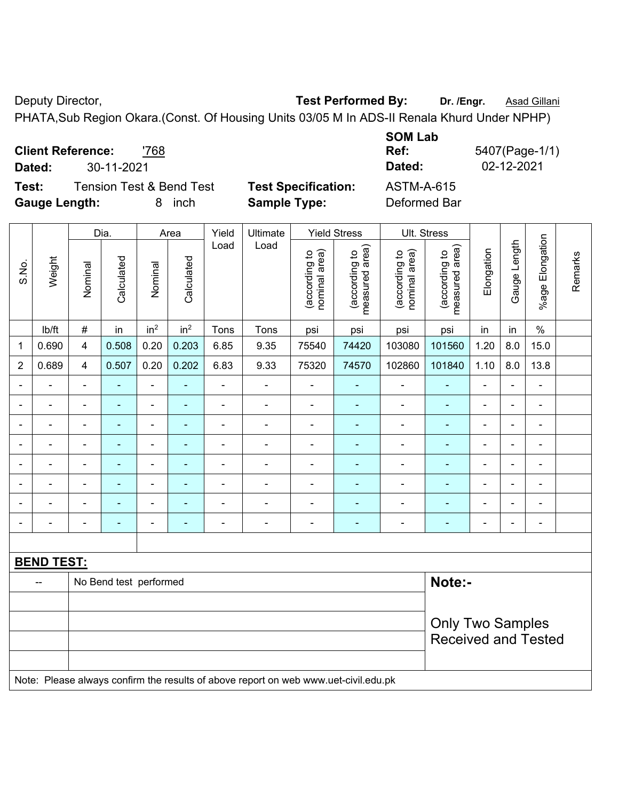Deputy Director, **Test Performed By:** Dr. /Engr. **Asad Gillani** 

PHATA,Sub Region Okara.(Const. Of Housing Units 03/05 M In ADS-II Renala Khurd Under NPHP)

|                      |                          |                                     |                            | <b>SUM LAD</b> |              |
|----------------------|--------------------------|-------------------------------------|----------------------------|----------------|--------------|
|                      | <b>Client Reference:</b> | '768                                |                            | Ref:           | 5407(Page-1/ |
| Dated:               | 30-11-2021               |                                     |                            | Dated:         | 02-12-2021   |
| Test:                |                          | <b>Tension Test &amp; Bend Test</b> | <b>Test Specification:</b> | ASTM-A-615     |              |
| <b>Gauge Length:</b> |                          | inch<br>8                           | <b>Sample Type:</b>        | Deformed Bar   |              |

|                |                   | Dia.                       |                        |                              | Area                     |                | Ultimate                                                                            |                                | <b>Yield Stress</b>             |                                | Ult. Stress                     |                          |                |                 |         |
|----------------|-------------------|----------------------------|------------------------|------------------------------|--------------------------|----------------|-------------------------------------------------------------------------------------|--------------------------------|---------------------------------|--------------------------------|---------------------------------|--------------------------|----------------|-----------------|---------|
| S.No.          | Weight            | Nominal                    | Calculated             | Nominal                      | Calculated               | Yield<br>Load  | Load                                                                                | nominal area)<br>(according to | (according to<br>measured area) | nominal area)<br>(according to | (according to<br>measured area) | Elongation               | Gauge Length   | %age Elongation | Remarks |
|                | Ib/ft             | $\#$                       | in                     | in <sup>2</sup>              | in <sup>2</sup>          | Tons           | Tons                                                                                | psi                            | psi                             | psi                            | psi                             | in                       | in             | $\%$            |         |
| 1              | 0.690             | $\overline{4}$             | 0.508                  | 0.20                         | 0.203                    | 6.85           | 9.35                                                                                | 75540                          | 74420                           | 103080                         | 101560                          | 1.20                     | 8.0            | 15.0            |         |
| $\overline{2}$ | 0.689             | $\overline{4}$             | 0.507                  | 0.20                         | 0.202                    | 6.83           | 9.33                                                                                | 75320                          | 74570                           | 102860                         | 101840                          | 1.10                     | 8.0            | 13.8            |         |
| $\blacksquare$ | ä,                | $\blacksquare$             | $\blacksquare$         | $\blacksquare$               | $\blacksquare$           | $\blacksquare$ | $\blacksquare$                                                                      | ä,                             | $\blacksquare$                  | $\blacksquare$                 | ä,                              | $\blacksquare$           | $\blacksquare$ | ä,              |         |
|                | $\blacksquare$    | $\blacksquare$             | $\blacksquare$         | $\overline{\phantom{0}}$     | ٠                        | $\blacksquare$ | $\blacksquare$                                                                      | $\blacksquare$                 | $\blacksquare$                  | $\blacksquare$                 | $\blacksquare$                  | $\blacksquare$           |                | ä,              |         |
|                |                   |                            | $\blacksquare$         | ÷                            | $\overline{\phantom{0}}$ | $\blacksquare$ | $\overline{\phantom{0}}$                                                            | $\blacksquare$                 | ٠                               | $\blacksquare$                 | $\blacksquare$                  | $\overline{\phantom{a}}$ |                | $\blacksquare$  |         |
|                |                   |                            |                        | $\qquad \qquad \blacksquare$ |                          | $\blacksquare$ | $\blacksquare$                                                                      | $\blacksquare$                 | $\blacksquare$                  | $\overline{\phantom{0}}$       |                                 |                          |                | $\blacksquare$  |         |
|                |                   |                            |                        | ä,                           |                          | $\blacksquare$ | $\blacksquare$                                                                      | $\blacksquare$                 | $\blacksquare$                  | $\blacksquare$                 |                                 | $\blacksquare$           |                | $\blacksquare$  |         |
|                | $\blacksquare$    | $\blacksquare$             | $\blacksquare$         | ÷,                           | ٠                        | $\blacksquare$ | $\blacksquare$                                                                      | $\blacksquare$                 | ٠                               | $\blacksquare$                 | $\blacksquare$                  | $\overline{\phantom{a}}$ | $\blacksquare$ | $\blacksquare$  |         |
|                |                   | $\blacksquare$             | $\blacksquare$         | Ĭ.                           | $\blacksquare$           | $\blacksquare$ | $\overline{a}$                                                                      | $\blacksquare$                 | $\blacksquare$                  | $\blacksquare$                 | $\blacksquare$                  | $\blacksquare$           |                | ÷               |         |
|                |                   | $\overline{\phantom{0}}$   | $\blacksquare$         | ÷,                           | $\overline{\phantom{0}}$ | $\overline{a}$ | $\overline{\phantom{a}}$                                                            | $\blacksquare$                 | $\blacksquare$                  | ÷                              | $\blacksquare$                  | $\blacksquare$           | $\blacksquare$ | ÷,              |         |
|                |                   |                            |                        |                              |                          |                |                                                                                     |                                |                                 |                                |                                 |                          |                |                 |         |
|                | <b>BEND TEST:</b> |                            |                        |                              |                          |                |                                                                                     |                                |                                 |                                |                                 |                          |                |                 |         |
|                |                   |                            | No Bend test performed |                              |                          |                |                                                                                     |                                |                                 |                                | Note:-                          |                          |                |                 |         |
|                |                   |                            |                        |                              |                          |                |                                                                                     |                                |                                 |                                |                                 |                          |                |                 |         |
|                |                   | <b>Only Two Samples</b>    |                        |                              |                          |                |                                                                                     |                                |                                 |                                |                                 |                          |                |                 |         |
|                |                   | <b>Received and Tested</b> |                        |                              |                          |                |                                                                                     |                                |                                 |                                |                                 |                          |                |                 |         |
|                |                   |                            |                        |                              |                          |                |                                                                                     |                                |                                 |                                |                                 |                          |                |                 |         |
|                |                   |                            |                        |                              |                          |                | Note: Please always confirm the results of above report on web www.uet-civil.edu.pk |                                |                                 |                                |                                 |                          |                |                 |         |

**SOM Lab**  (Page-1/1)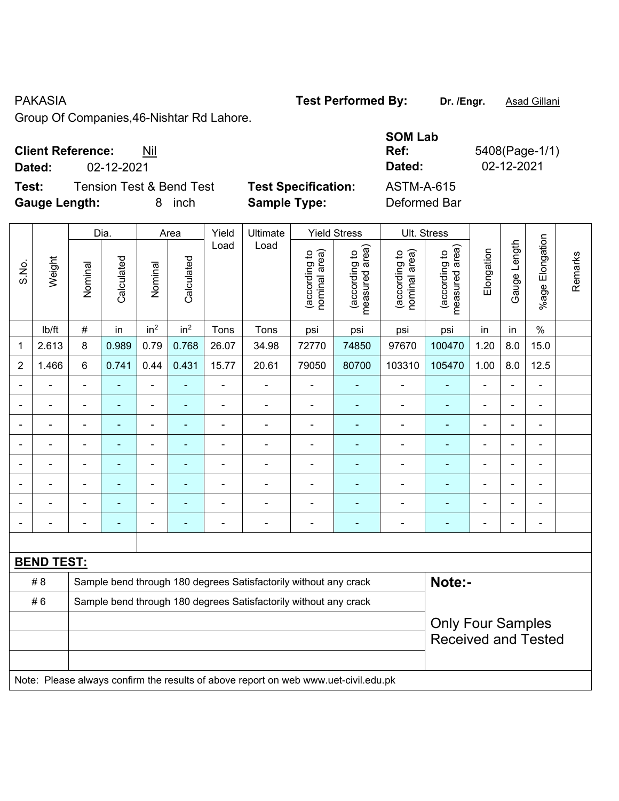### PAKASIA **Test Performed By:** Dr. /Engr. **Asad Gillani**

Group Of Companies,46-Nishtar Rd Lahore.

# **Client Reference:** Nil

**Dated:** 02-12-2021 **Dated:** 02-12-2021

**Test:** Tension Test & Bend Test **Test Specification: Gauge Length:** 8 inch **Sample Type:** Deformed Bar

| <b>SOM Lab</b><br>Ref:<br>Dated: | 5408(Page-1/1)<br>02-12-2021 |
|----------------------------------|------------------------------|
| ASTM-A-615                       |                              |
| <b>Deformed Bar</b>              |                              |

|                          |                   |                | Dia.                                                   |                 | Area            | Yield                    | Ultimate                                                                            |                                | <b>Yield Stress</b>             |                                | Ult. Stress                     |                |                |                          |         |
|--------------------------|-------------------|----------------|--------------------------------------------------------|-----------------|-----------------|--------------------------|-------------------------------------------------------------------------------------|--------------------------------|---------------------------------|--------------------------------|---------------------------------|----------------|----------------|--------------------------|---------|
| S.No.                    | Weight            | Nominal        | Calculated                                             | Nominal         | Calculated      | Load                     | Load                                                                                | nominal area)<br>(according to | (according to<br>measured area) | (according to<br>nominal area) | (according to<br>measured area) | Elongation     | Gauge Length   | %age Elongation          | Remarks |
|                          | lb/ft             | $\#$           | in                                                     | in <sup>2</sup> | in <sup>2</sup> | Tons                     | Tons                                                                                | psi                            | psi                             | psi                            | psi                             | in             | in             | $\%$                     |         |
| 1                        | 2.613             | 8              | 0.989                                                  | 0.79            | 0.768           | 26.07                    | 34.98                                                                               | 72770                          | 74850                           | 97670                          | 100470                          | 1.20           | 8.0            | 15.0                     |         |
| $\overline{2}$           | 1.466             | $6\phantom{1}$ | 0.741                                                  | 0.44            | 0.431           | 15.77                    | 20.61                                                                               | 79050                          | 80700                           | 103310                         | 105470                          | 1.00           | 8.0            | 12.5                     |         |
| $\blacksquare$           | ä,                | $\blacksquare$ | $\blacksquare$                                         | ä,              | $\blacksquare$  | $\blacksquare$           | ä,                                                                                  | ä,                             | ÷                               | ä,                             | $\blacksquare$                  | $\blacksquare$ | $\blacksquare$ | $\blacksquare$           |         |
| $\blacksquare$           | ÷.                | $\blacksquare$ | $\blacksquare$                                         | ÷,              | $\blacksquare$  | $\overline{\phantom{a}}$ | $\blacksquare$                                                                      | ä,                             | ÷                               | $\blacksquare$                 | $\blacksquare$                  | $\blacksquare$ | $\blacksquare$ | $\blacksquare$           |         |
| $\overline{\phantom{a}}$ | $\blacksquare$    | $\blacksquare$ | $\blacksquare$                                         | ÷,              | $\blacksquare$  | L,                       | $\blacksquare$                                                                      | $\blacksquare$                 | $\blacksquare$                  | $\blacksquare$                 | $\blacksquare$                  | $\blacksquare$ |                | $\blacksquare$           |         |
|                          | ÷                 | $\blacksquare$ | ۰                                                      | $\blacksquare$  |                 | ä,                       | ä,                                                                                  | $\blacksquare$                 |                                 | $\blacksquare$                 | ä,                              | $\blacksquare$ |                | $\blacksquare$           |         |
|                          |                   |                | ۰                                                      | ۰               |                 | $\blacksquare$           | $\blacksquare$                                                                      | $\blacksquare$                 | $\blacksquare$                  | $\blacksquare$                 | $\blacksquare$                  | $\equiv$       |                | $\overline{\phantom{a}}$ |         |
|                          | $\blacksquare$    | $\blacksquare$ | ÷                                                      | $\blacksquare$  |                 | $\blacksquare$           | $\blacksquare$                                                                      | $\blacksquare$                 | ٠                               | $\overline{\phantom{a}}$       | $\blacksquare$                  | $\blacksquare$ |                | $\blacksquare$           |         |
|                          |                   | Ē,             | ۰                                                      | $\blacksquare$  |                 |                          | $\blacksquare$                                                                      | $\blacksquare$                 |                                 | $\blacksquare$                 | $\blacksquare$                  | $\blacksquare$ |                | $\overline{\phantom{a}}$ |         |
| $\blacksquare$           | ÷                 | $\blacksquare$ | $\overline{\phantom{0}}$                               | ÷               |                 | ÷                        | $\overline{a}$                                                                      | $\blacksquare$                 | $\overline{\phantom{0}}$        | ÷                              | $\blacksquare$                  | $\overline{a}$ |                | $\overline{\phantom{a}}$ |         |
|                          |                   |                |                                                        |                 |                 |                          |                                                                                     |                                |                                 |                                |                                 |                |                |                          |         |
|                          | <b>BEND TEST:</b> |                |                                                        |                 |                 |                          |                                                                                     |                                |                                 |                                |                                 |                |                |                          |         |
|                          | # 8               |                |                                                        |                 |                 |                          | Sample bend through 180 degrees Satisfactorily without any crack                    |                                |                                 |                                | Note:-                          |                |                |                          |         |
|                          | #6                |                |                                                        |                 |                 |                          | Sample bend through 180 degrees Satisfactorily without any crack                    |                                |                                 |                                |                                 |                |                |                          |         |
|                          |                   |                | <b>Only Four Samples</b><br><b>Received and Tested</b> |                 |                 |                          |                                                                                     |                                |                                 |                                |                                 |                |                |                          |         |
|                          |                   |                |                                                        |                 |                 |                          | Note: Please always confirm the results of above report on web www.uet-civil.edu.pk |                                |                                 |                                |                                 |                |                |                          |         |